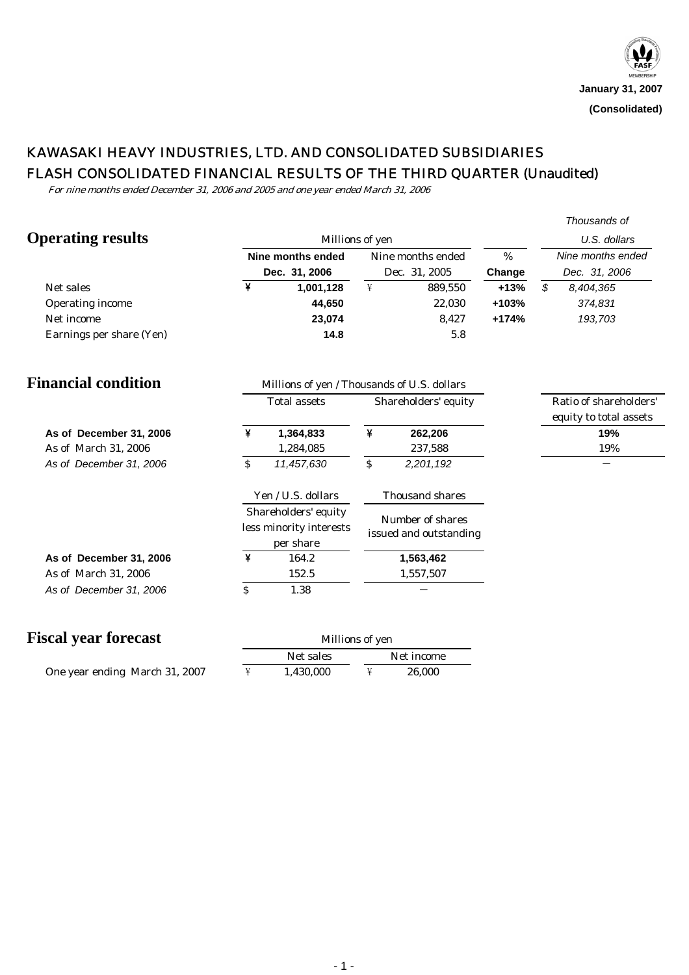# KAWASAKI HEAVY INDUSTRIES, LTD. AND CONSOLIDATED SUBSIDIARIES FLASH CONSOLIDATED FINANCIAL RESULTS OF THE THIRD QUARTER (Unaudited)

For nine months ended December 31, 2006 and 2005 and one year ended March 31, 2006

|                             |                   |                                             |                                                                                                                                                                                                                                                                                                                                                                                                                                                                   |                        |         | Thousands of           |  |  |
|-----------------------------|-------------------|---------------------------------------------|-------------------------------------------------------------------------------------------------------------------------------------------------------------------------------------------------------------------------------------------------------------------------------------------------------------------------------------------------------------------------------------------------------------------------------------------------------------------|------------------------|---------|------------------------|--|--|
| <b>Operating results</b>    |                   | Millions of yen                             |                                                                                                                                                                                                                                                                                                                                                                                                                                                                   | U.S. dollars           |         |                        |  |  |
|                             | Nine months ended |                                             |                                                                                                                                                                                                                                                                                                                                                                                                                                                                   | Nine months ended      |         | Nine months ended      |  |  |
|                             |                   | Dec. 31, 2006                               |                                                                                                                                                                                                                                                                                                                                                                                                                                                                   | Dec. 31, 2005          | Change  | Dec. 31, 2006          |  |  |
| Net sales                   | ¥                 | 1,001,128                                   | ¥                                                                                                                                                                                                                                                                                                                                                                                                                                                                 | 889,550                | $+13%$  | \$<br>8,404,365        |  |  |
| <b>Operating income</b>     |                   | 44,650                                      |                                                                                                                                                                                                                                                                                                                                                                                                                                                                   | 22,030                 | +103%   | 374,831                |  |  |
| Net income                  |                   | 23,074                                      |                                                                                                                                                                                                                                                                                                                                                                                                                                                                   | 8,427                  | $+174%$ | 193,703                |  |  |
| Earnings per share (Yen)    |                   | 14.8                                        |                                                                                                                                                                                                                                                                                                                                                                                                                                                                   | 5.8                    |         |                        |  |  |
| <b>Financial condition</b>  |                   | Millions of yen / Thousands of U.S. dollars |                                                                                                                                                                                                                                                                                                                                                                                                                                                                   |                        |         |                        |  |  |
|                             |                   | <b>Total assets</b>                         |                                                                                                                                                                                                                                                                                                                                                                                                                                                                   | Shareholders' equity   |         | Ratio of shareholders' |  |  |
|                             |                   |                                             |                                                                                                                                                                                                                                                                                                                                                                                                                                                                   |                        |         | equity to total assets |  |  |
| As of December 31, 2006     | ¥                 | 1,364,833                                   | ¥                                                                                                                                                                                                                                                                                                                                                                                                                                                                 | 262,206                |         | 19%                    |  |  |
| As of March 31, 2006        |                   | 1,284,085                                   |                                                                                                                                                                                                                                                                                                                                                                                                                                                                   | 237,588                |         | 19%                    |  |  |
| As of December 31, 2006     | ${\mathcal{S}}$   | 11,457,630                                  | $\mathcal{S}% _{M_{1},M_{2}}^{\alpha,\beta}(\mathcal{M}_{M_{1},M_{2}}^{\alpha,\beta}(\mathcal{M}_{M_{1},M_{2}}^{\alpha,\beta}(\mathcal{M}_{M_{1},M_{2}}^{\alpha,\beta}(\mathcal{M}_{M_{1},M_{2}}^{\alpha,\beta}(\mathcal{M}_{M_{1},M_{2}}^{\alpha,\beta}(\mathcal{M}_{M_{1},M_{2}}^{\alpha,\beta}(\mathcal{M}_{M_{1},M_{2}}^{\alpha,\beta}(\mathcal{M}_{M_{1},M_{2}}^{\alpha,\beta}(\mathcal{M}_{M_{1},M_{2}}^{\alpha,\beta}(\mathcal{M}_{M_{1},M_{2}}^{\alpha,\$ | 2,201,192              |         |                        |  |  |
|                             |                   | Yen / U.S. dollars                          |                                                                                                                                                                                                                                                                                                                                                                                                                                                                   | <b>Thousand shares</b> |         |                        |  |  |
|                             |                   | Shareholders' equity                        |                                                                                                                                                                                                                                                                                                                                                                                                                                                                   | Number of shares       |         |                        |  |  |
|                             |                   | less minority interests<br>per share        |                                                                                                                                                                                                                                                                                                                                                                                                                                                                   | issued and outstanding |         |                        |  |  |
| As of December 31, 2006     | ¥                 | 164.2                                       |                                                                                                                                                                                                                                                                                                                                                                                                                                                                   | 1,563,462              |         |                        |  |  |
| As of March 31, 2006        |                   | 152.5                                       |                                                                                                                                                                                                                                                                                                                                                                                                                                                                   | 1,557,507              |         |                        |  |  |
| As of December 31, 2006     | \$                | 1.38                                        |                                                                                                                                                                                                                                                                                                                                                                                                                                                                   |                        |         |                        |  |  |
| <b>Fiscal year forecast</b> |                   | Millions of yen                             |                                                                                                                                                                                                                                                                                                                                                                                                                                                                   |                        |         |                        |  |  |
|                             |                   | Net sales                                   |                                                                                                                                                                                                                                                                                                                                                                                                                                                                   | Net income             |         |                        |  |  |

| One year ending March 31, 2007 | 1,430,000 | 26.000 |
|--------------------------------|-----------|--------|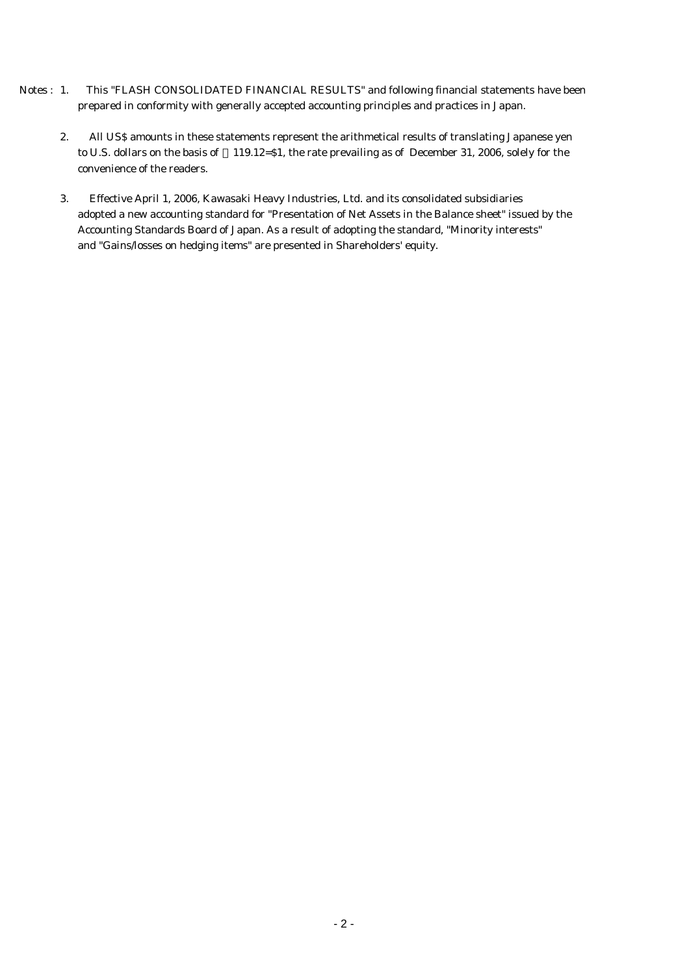- Notes : 1. This "FLASH CONSOLIDATED FINANCIAL RESULTS" and following financial statements have been prepared in conformity with generally accepted accounting principles and practices in Japan.
	- 2. All US\$ amounts in these statements represent the arithmetical results of translating Japanese yen to U.S. dollars on the basis of 119.12=\$1, the rate prevailing as of December 31, 2006, solely for the convenience of the readers.
	- 3. Effective April 1, 2006, Kawasaki Heavy Industries, Ltd. and its consolidated subsidiaries adopted a new accounting standard for "Presentation of Net Assets in the Balance sheet" issued by the Accounting Standards Board of Japan. As a result of adopting the standard, "Minority interests" and "Gains/losses on hedging items" are presented in Shareholders' equity.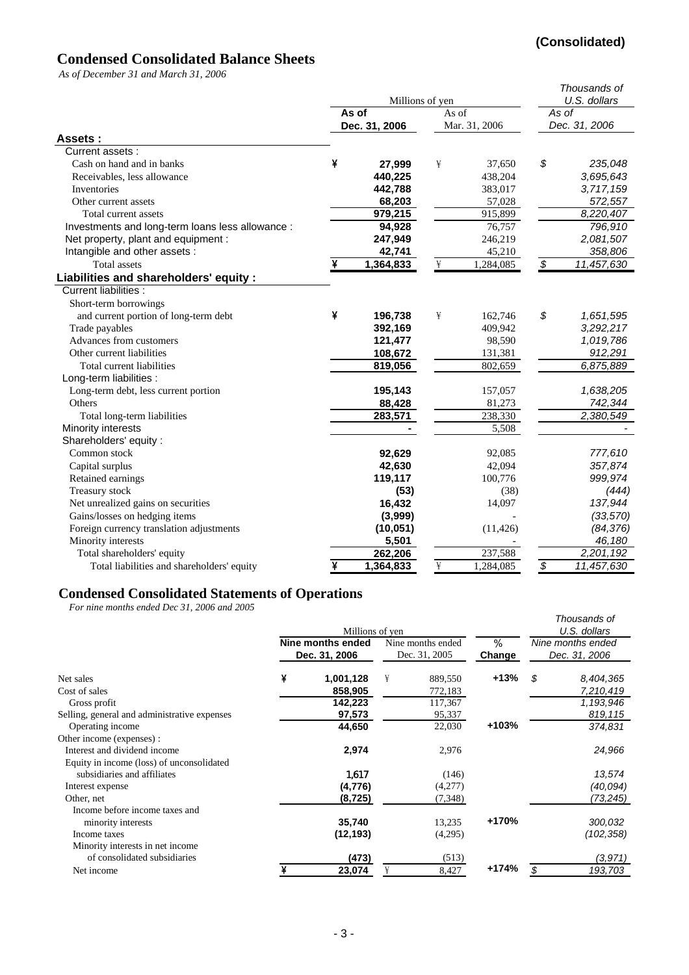# **(Consolidated)**

# **Condensed Consolidated Balance Sheets**

*As of December 31 and March 31, 2006*

|                                                  |   | Millions of yen |                      | Thousands of<br>U.S. dollars |                          |            |
|--------------------------------------------------|---|-----------------|----------------------|------------------------------|--------------------------|------------|
|                                                  |   | As of           | As of                | As of                        |                          |            |
|                                                  |   | Dec. 31, 2006   | Mar. 31, 2006        |                              | Dec. 31, 2006            |            |
| Assets :                                         |   |                 |                      |                              |                          |            |
| Current assets:                                  |   |                 |                      |                              |                          |            |
| Cash on hand and in banks                        | ¥ | 27,999          | ¥                    | 37,650                       | \$                       | 235,048    |
| Receivables, less allowance                      |   | 440,225         |                      | 438,204                      |                          | 3,695,643  |
| Inventories                                      |   | 442,788         |                      | 383,017                      |                          | 3,717,159  |
| Other current assets                             |   | 68,203          |                      | 57,028                       |                          | 572,557    |
| Total current assets                             |   | 979,215         |                      | 915,899                      |                          | 8,220,407  |
| Investments and long-term loans less allowance : |   | 94,928          |                      | 76,757                       |                          | 796,910    |
| Net property, plant and equipment :              |   | 247,949         |                      | 246,219                      |                          | 2,081,507  |
| Intangible and other assets :                    |   | 42,741          |                      | 45,210                       |                          | 358,806    |
| <b>Total assets</b>                              |   | 1,364,833       | ¥                    | 1,284,085                    | \$                       | 11,457,630 |
| Liabilities and shareholders' equity :           |   |                 |                      |                              |                          |            |
| <b>Current liabilities:</b>                      |   |                 |                      |                              |                          |            |
| Short-term borrowings                            |   |                 |                      |                              |                          |            |
| and current portion of long-term debt            | ¥ | 196,738         | ¥                    | 162,746                      | \$                       | 1,651,595  |
| Trade payables                                   |   | 392,169         |                      | 409,942                      |                          | 3,292,217  |
| Advances from customers                          |   | 121,477         |                      | 98,590                       |                          | 1,019,786  |
| Other current liabilities                        |   | 108,672         |                      | 131,381                      |                          | 912,291    |
| Total current liabilities                        |   | 819,056         |                      | 802,659                      |                          | 6,875,889  |
| Long-term liabilities :                          |   |                 |                      |                              |                          |            |
| Long-term debt, less current portion             |   | 195,143         |                      | 157,057                      |                          | 1,638,205  |
| Others                                           |   | 88,428          |                      | 81,273                       |                          | 742,344    |
| Total long-term liabilities                      |   | 283,571         |                      | 238,330                      |                          | 2,380,549  |
| Minority interests                               |   |                 |                      | 5,508                        |                          |            |
| Shareholders' equity :                           |   |                 |                      |                              |                          |            |
| Common stock                                     |   | 92,629          |                      | 92,085                       |                          | 777,610    |
| Capital surplus                                  |   | 42,630          |                      | 42,094                       |                          | 357,874    |
| Retained earnings                                |   | 119,117         |                      | 100,776                      |                          | 999,974    |
| Treasury stock                                   |   | (53)            |                      | (38)                         |                          | (444)      |
| Net unrealized gains on securities               |   | 16,432          |                      | 14,097                       |                          | 137,944    |
| Gains/losses on hedging items                    |   | (3,999)         |                      |                              |                          | (33, 570)  |
| Foreign currency translation adjustments         |   | (10, 051)       |                      | (11, 426)                    |                          | (84, 376)  |
| Minority interests                               |   | 5,501           |                      |                              |                          | 46,180     |
| Total shareholders' equity                       |   | 262,206         |                      | 237,588                      |                          | 2,201,192  |
| Total liabilities and shareholders' equity       | ¥ | 1,364,833       | $\frac{1}{\sqrt{2}}$ | 1,284,085                    | $\overline{\mathcal{S}}$ | 11,457,630 |

#### **Condensed Consolidated Statements of Operations**

*For nine months ended Dec 31, 2006 and 2005*

| For nine monins enged Dec 31, 2000 and 2003  |   | Millions of yen<br>Nine months ended<br>Dec. 31, 2006 | % | Thousands of<br>U.S. dollars<br>Nine months ended<br>Dec. 31, 2006 |         |    |            |
|----------------------------------------------|---|-------------------------------------------------------|---|--------------------------------------------------------------------|---------|----|------------|
|                                              |   |                                                       |   | Dec. 31, 2005                                                      | Change  |    |            |
| Net sales                                    | ¥ | 1,001,128                                             | ¥ | 889,550                                                            | $+13%$  | \$ | 8,404,365  |
| Cost of sales                                |   | 858,905                                               |   | 772,183                                                            |         |    | 7,210,419  |
| Gross profit                                 |   | 142,223                                               |   | 117,367                                                            |         |    | 1,193,946  |
| Selling, general and administrative expenses |   | 97,573                                                |   | 95,337                                                             |         |    | 819,115    |
| Operating income                             |   | 44,650                                                |   | 22,030                                                             | +103%   |    | 374,831    |
| Other income (expenses) :                    |   |                                                       |   |                                                                    |         |    |            |
| Interest and dividend income                 |   | 2,974                                                 |   | 2,976                                                              |         |    | 24,966     |
| Equity in income (loss) of unconsolidated    |   |                                                       |   |                                                                    |         |    |            |
| subsidiaries and affiliates                  |   | 1,617                                                 |   | (146)                                                              |         |    | 13,574     |
| Interest expense                             |   | (4, 776)                                              |   | (4,277)                                                            |         |    | (40,094)   |
| Other, net                                   |   | (8,725)                                               |   | (7, 348)                                                           |         |    | (73, 245)  |
| Income before income taxes and               |   |                                                       |   |                                                                    |         |    |            |
| minority interests                           |   | 35,740                                                |   | 13,235                                                             | +170%   |    | 300,032    |
| Income taxes                                 |   | (12, 193)                                             |   | (4,295)                                                            |         |    | (102, 358) |
| Minority interests in net income             |   |                                                       |   |                                                                    |         |    |            |
| of consolidated subsidiaries                 |   | (473)                                                 |   | (513)                                                              |         |    | (3,971)    |
| Net income                                   |   | 23,074                                                |   | 8,427                                                              | $+174%$ | \$ | 193,703    |